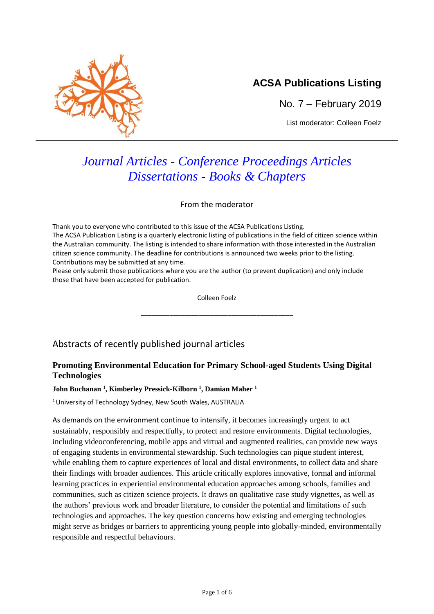

## **ACSA Publications Listing**

No. 7 – February 2019

List moderator: Colleen Foelz

# *Journal Articles - Conference Proceedings Articles Dissertations - Books & Chapters*

From the moderator

Thank you to everyone who contributed to this issue of the ACSA Publications Listing. The ACSA Publication Listing is a quarterly electronic listing of publications in the field of citizen science within the Australian community. The listing is intended to share information with those interested in the Australian citizen science community. The deadline for contributions is announced two weeks prior to the listing. Contributions may be submitted at any time.

Please only submit those publications where you are the author (to prevent duplication) and only include those that have been accepted for publication.

Colleen Foelz

\_\_\_\_\_\_\_\_\_\_\_\_\_\_\_\_\_\_\_\_\_\_\_\_\_\_\_\_\_\_\_\_\_\_\_\_\_\_\_\_\_\_

## Abstracts of recently published journal articles

## **Promoting Environmental Education for Primary School-aged Students Using Digital Technologies**

#### **John Buchanan <sup>1</sup> , Kimberley Pressick-Kilborn <sup>1</sup> , Damian Maher <sup>1</sup>**

<sup>1</sup> University of Technology Sydney, New South Wales, AUSTRALIA

As demands on the environment continue to intensify, it becomes increasingly urgent to act sustainably, responsibly and respectfully, to protect and restore environments. Digital technologies, including videoconferencing, mobile apps and virtual and augmented realities, can provide new ways of engaging students in environmental stewardship. Such technologies can pique student interest, while enabling them to capture experiences of local and distal environments, to collect data and share their findings with broader audiences. This article critically explores innovative, formal and informal learning practices in experiential environmental education approaches among schools, families and communities, such as citizen science projects. It draws on qualitative case study vignettes, as well as the authors' previous work and broader literature, to consider the potential and limitations of such technologies and approaches. The key question concerns how existing and emerging technologies might serve as bridges or barriers to apprenticing young people into globally-minded, environmentally responsible and respectful behaviours.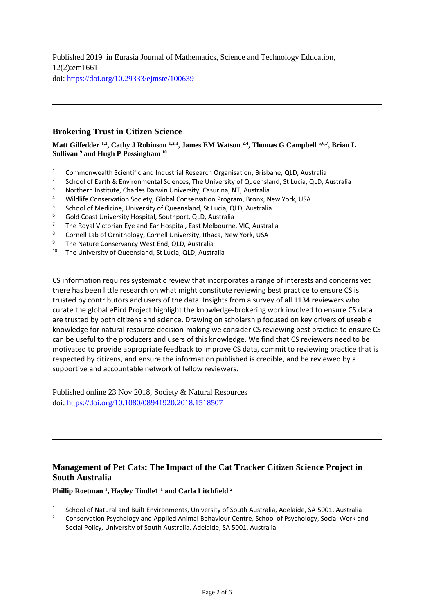Published 2019 in Eurasia Journal of Mathematics, Science and Technology Education, 12(2):em1661 doi: <https://doi.org/10.29333/ejmste/100639>

#### **Brokering Trust in Citizen Science**

**Matt Gilfedder 1,2 , Cathy J Robinson 1,2,3 , James EM Watson 2,4 , Thomas G Campbell 5,6,7 , Brian L Sullivan <sup>9</sup> and Hugh P Possingham <sup>10</sup>**

- <sup>1</sup> Commonwealth Scientific and Industrial Research Organisation, Brisbane, QLD, Australia
- 2 School of Earth & Environmental Sciences, The University of Queensland, St Lucia, QLD, Australia
- <sup>3</sup> Northern Institute, Charles Darwin University, Casurina, NT, Australia
- <sup>4</sup> Wildlife Conservation Society, Global Conservation Program, Bronx, New York, USA
- 5 School of Medicine, University of Queensland, St Lucia, QLD, Australia
- <sup>6</sup> Gold Coast University Hospital, Southport, QLD, Australia
- $7$  The Royal Victorian Eye and Ear Hospital, East Melbourne, VIC, Australia
- <sup>8</sup> Cornell Lab of Ornithology, Cornell University, Ithaca, New York, USA<br><sup>9</sup> The Nature Conservancy West End, OLD, Australia
- The Nature Conservancy West End, QLD, Australia
- <sup>10</sup> The University of Queensland, St Lucia, QLD, Australia

CS information requires systematic review that incorporates a range of interests and concerns yet there has been little research on what might constitute reviewing best practice to ensure CS is trusted by contributors and users of the data. Insights from a survey of all 1134 reviewers who curate the global eBird Project highlight the knowledge-brokering work involved to ensure CS data are trusted by both citizens and science. Drawing on scholarship focused on key drivers of useable knowledge for natural resource decision-making we consider CS reviewing best practice to ensure CS can be useful to the producers and users of this knowledge. We find that CS reviewers need to be motivated to provide appropriate feedback to improve CS data, commit to reviewing practice that is respected by citizens, and ensure the information published is credible, and be reviewed by a supportive and accountable network of fellow reviewers.

Published online 23 Nov 2018, Society & Natural Resources doi: <https://doi.org/10.1080/08941920.2018.1518507>

## **Management of Pet Cats: The Impact of the Cat Tracker Citizen Science Project in South Australia**

#### **Phillip Roetman <sup>1</sup> , Hayley Tindle1 <sup>1</sup> and Carla Litchfield <sup>2</sup>**

- 1 School of Natural and Built Environments, University of South Australia, Adelaide, SA 5001, Australia
- <sup>2</sup> Conservation Psychology and Applied Animal Behaviour Centre, School of Psychology, Social Work and Social Policy, University of South Australia, Adelaide, SA 5001, Australia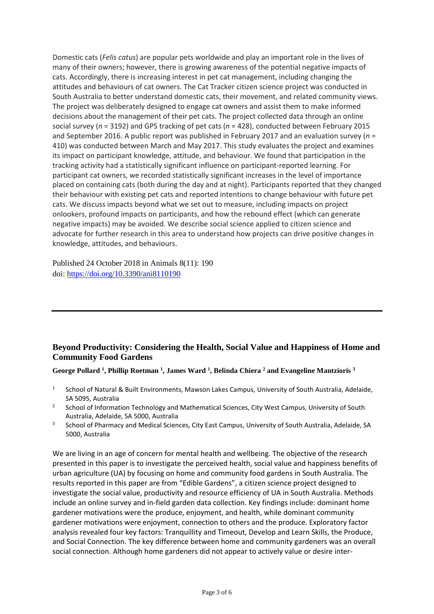Domestic cats (*Felis catus*) are popular pets worldwide and play an important role in the lives of many of their owners; however, there is growing awareness of the potential negative impacts of cats. Accordingly, there is increasing interest in pet cat management, including changing the attitudes and behaviours of cat owners. The Cat Tracker citizen science project was conducted in South Australia to better understand domestic cats, their movement, and related community views. The project was deliberately designed to engage cat owners and assist them to make informed decisions about the management of their pet cats. The project collected data through an online social survey (*n* = 3192) and GPS tracking of pet cats (*n* = 428), conducted between February 2015 and September 2016. A public report was published in February 2017 and an evaluation survey (*n* = 410) was conducted between March and May 2017. This study evaluates the project and examines its impact on participant knowledge, attitude, and behaviour. We found that participation in the tracking activity had a statistically significant influence on participant-reported learning. For participant cat owners, we recorded statistically significant increases in the level of importance placed on containing cats (both during the day and at night). Participants reported that they changed their behaviour with existing pet cats and reported intentions to change behaviour with future pet cats. We discuss impacts beyond what we set out to measure, including impacts on project onlookers, profound impacts on participants, and how the rebound effect (which can generate negative impacts) may be avoided. We describe social science applied to citizen science and advocate for further research in this area to understand how projects can drive positive changes in knowledge, attitudes, and behaviours.

Published 24 October 2018 in Animals 8(11): 190 doi: <https://doi.org/10.3390/ani8110190>

## **Beyond Productivity: Considering the Health, Social Value and Happiness of Home and Community Food Gardens**

**George Pollard <sup>1</sup> , Phillip Roetman <sup>1</sup> , James Ward <sup>1</sup> , Belinda Chiera <sup>2</sup> and Evangeline Mantzioris <sup>3</sup>**

- 1 School of Natural & Built Environments, Mawson Lakes Campus, University of South Australia, Adelaide, SA 5095, Australia
- 2 School of Information Technology and Mathematical Sciences, City West Campus, University of South Australia, Adelaide, SA 5000, Australia
- 3 School of Pharmacy and Medical Sciences, City East Campus, University of South Australia, Adelaide, SA 5000, Australia

We are living in an age of concern for mental health and wellbeing. The objective of the research presented in this paper is to investigate the perceived health, social value and happiness benefits of urban agriculture (UA) by focusing on home and community food gardens in South Australia. The results reported in this paper are from "Edible Gardens", a citizen science project designed to investigate the social value, productivity and resource efficiency of UA in South Australia. Methods include an online survey and in-field garden data collection. Key findings include: dominant home gardener motivations were the produce, enjoyment, and health, while dominant community gardener motivations were enjoyment, connection to others and the produce. Exploratory factor analysis revealed four key factors: Tranquillity and Timeout, Develop and Learn Skills, the Produce, and Social Connection. The key difference between home and community gardeners was an overall social connection. Although home gardeners did not appear to actively value or desire inter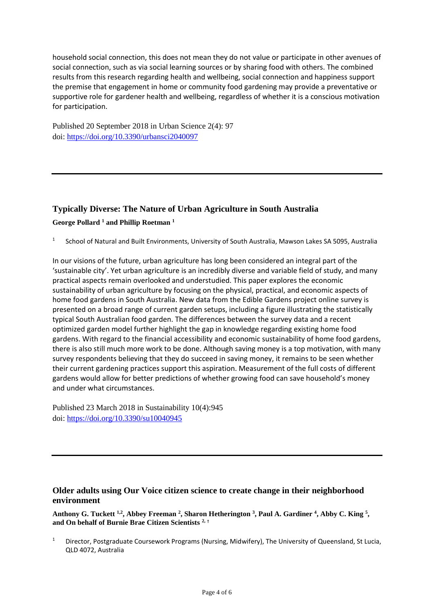household social connection, this does not mean they do not value or participate in other avenues of social connection, such as via social learning sources or by sharing food with others. The combined results from this research regarding health and wellbeing, social connection and happiness support the premise that engagement in home or community food gardening may provide a preventative or supportive role for gardener health and wellbeing, regardless of whether it is a conscious motivation for participation.

Published 20 September 2018 in Urban Science 2(4): 97 doi: <https://doi.org/10.3390/urbansci2040097>

## **Typically Diverse: The Nature of Urban Agriculture in South Australia**

**George Pollard <sup>1</sup> and Phillip Roetman <sup>1</sup>**

1 School of Natural and Built Environments, University of South Australia, Mawson Lakes SA 5095, Australia

In our visions of the future, urban agriculture has long been considered an integral part of the 'sustainable city'. Yet urban agriculture is an incredibly diverse and variable field of study, and many practical aspects remain overlooked and understudied. This paper explores the economic sustainability of urban agriculture by focusing on the physical, practical, and economic aspects of home food gardens in South Australia. New data from the Edible Gardens project online survey is presented on a broad range of current garden setups, including a figure illustrating the statistically typical South Australian food garden. The differences between the survey data and a recent optimized garden model further highlight the gap in knowledge regarding existing home food gardens. With regard to the financial accessibility and economic sustainability of home food gardens, there is also still much more work to be done. Although saving money is a top motivation, with many survey respondents believing that they do succeed in saving money, it remains to be seen whether their current gardening practices support this aspiration. Measurement of the full costs of different gardens would allow for better predictions of whether growing food can save household's money and under what circumstances.

Published 23 March 2018 in Sustainability 10(4):945 doi: <https://doi.org/10.3390/su10040945>

## **Older adults using Our Voice citizen science to create change in their neighborhood environment**

**Anthony G. Tuckett 1,2, Abbey Freeman <sup>2</sup> , Sharon Hetherington <sup>3</sup> , Paul A. Gardiner <sup>4</sup> , Abby C. King <sup>5</sup> , and On behalf of Burnie Brae Citizen Scientists 2, †**

<sup>1</sup> Director, Postgraduate Coursework Programs (Nursing, Midwifery), The University of Queensland, St Lucia, QLD 4072, Australia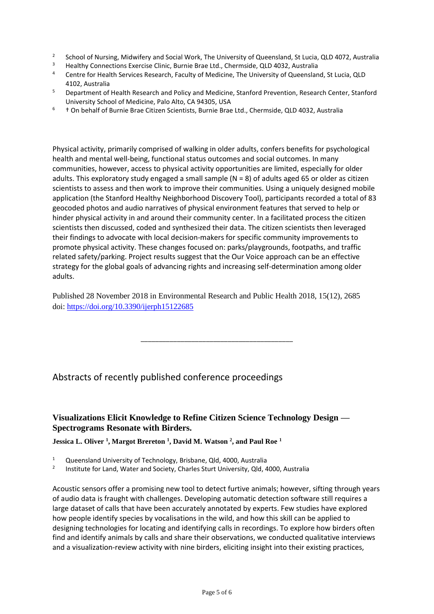- 2 School of Nursing, Midwifery and Social Work, The University of Queensland, St Lucia, QLD 4072, Australia
- <sup>3</sup> Healthy Connections Exercise Clinic, Burnie Brae Ltd., Chermside, QLD 4032, Australia
- <sup>4</sup> Centre for Health Services Research, Faculty of Medicine, The University of Queensland, St Lucia, QLD 4102, Australia
- <sup>5</sup> Department of Health Research and Policy and Medicine, Stanford Prevention, Research Center, Stanford University School of Medicine, Palo Alto, CA 94305, USA
- <sup>6</sup> † On behalf of Burnie Brae Citizen Scientists, Burnie Brae Ltd., Chermside, QLD 4032, Australia

Physical activity, primarily comprised of walking in older adults, confers benefits for psychological health and mental well-being, functional status outcomes and social outcomes. In many communities, however, access to physical activity opportunities are limited, especially for older adults. This exploratory study engaged a small sample (N = 8) of adults aged 65 or older as citizen scientists to assess and then work to improve their communities. Using a uniquely designed mobile application (the Stanford Healthy Neighborhood Discovery Tool), participants recorded a total of 83 geocoded photos and audio narratives of physical environment features that served to help or hinder physical activity in and around their community center. In a facilitated process the citizen scientists then discussed, coded and synthesized their data. The citizen scientists then leveraged their findings to advocate with local decision-makers for specific community improvements to promote physical activity. These changes focused on: parks/playgrounds, footpaths, and traffic related safety/parking. Project results suggest that the Our Voice approach can be an effective strategy for the global goals of advancing rights and increasing self-determination among older adults.

Published 28 November 2018 in Environmental Research and Public Health 2018, 15(12), 2685 doi: <https://doi.org/10.3390/ijerph15122685>

\_\_\_\_\_\_\_\_\_\_\_\_\_\_\_\_\_\_\_\_\_\_\_\_\_\_\_\_\_\_\_\_\_\_\_\_\_\_\_\_\_\_

## Abstracts of recently published conference proceedings

### **Visualizations Elicit Knowledge to Refine Citizen Science Technology Design — Spectrograms Resonate with Birders.**

#### **Jessica L. Oliver <sup>1</sup> , Margot Brereton <sup>1</sup> , David M. Watson <sup>2</sup> , and Paul Roe <sup>1</sup>**

- <sup>1</sup> Queensland University of Technology, Brisbane, Qld, 4000, Australia
- 2 Institute for Land, Water and Society, Charles Sturt University, Qld, 4000, Australia

Acoustic sensors offer a promising new tool to detect furtive animals; however, sifting through years of audio data is fraught with challenges. Developing automatic detection software still requires a large dataset of calls that have been accurately annotated by experts. Few studies have explored how people identify species by vocalisations in the wild, and how this skill can be applied to designing technologies for locating and identifying calls in recordings. To explore how birders often find and identify animals by calls and share their observations, we conducted qualitative interviews and a visualization-review activity with nine birders, eliciting insight into their existing practices,